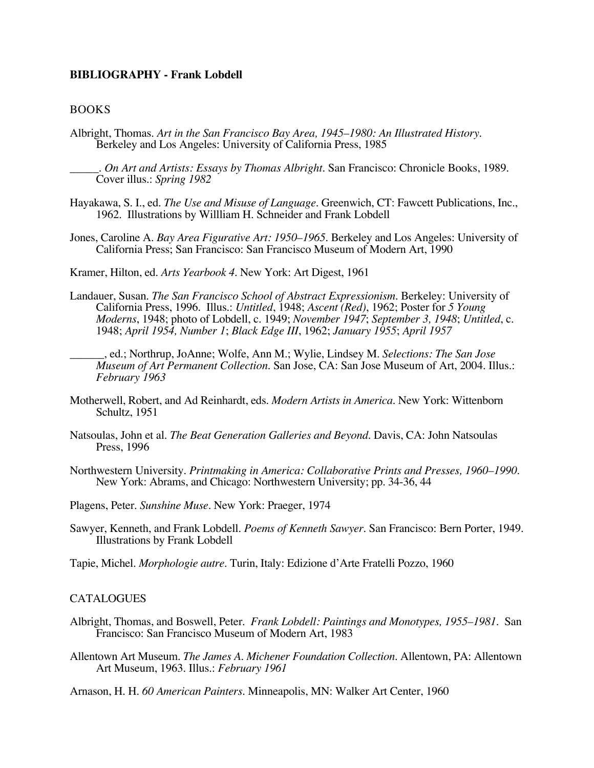# **BIBLIOGRAPHY - Frank Lobdell**

### BOOKS

Albright, Thomas. *Art in the San Francisco Bay Area, 1945–1980: An Illustrated History*. Berkeley and Los Angeles: University of California Press, 1985

\_\_\_\_\_. *On Art and Artists: Essays by Thomas Albright*. San Francisco: Chronicle Books, 1989. Cover illus.: *Spring 1982*

- Hayakawa, S. I., ed. *The Use and Misuse of Language*. Greenwich, CT: Fawcett Publications, Inc., 1962. Illustrations by Willliam H. Schneider and Frank Lobdell
- Jones, Caroline A. *Bay Area Figurative Art: 1950–1965*. Berkeley and Los Angeles: University of California Press; San Francisco: San Francisco Museum of Modern Art, 1990

Kramer, Hilton, ed. *Arts Yearbook 4*. New York: Art Digest, 1961

Landauer, Susan. *The San Francisco School of Abstract Expressionism*. Berkeley: University of California Press, 1996. Illus.: *Untitled*, 1948; *Ascent (Red)*, 1962; Poster for *5 Young Moderns*, 1948; photo of Lobdell, c. 1949; *November 1947*; *September 3, 1948*; *Untitled*, c. 1948; *April 1954, Number 1*; *Black Edge III*, 1962; *January 1955*; *April 1957*

\_\_\_\_\_\_, ed.; Northrup, JoAnne; Wolfe, Ann M.; Wylie, Lindsey M. *Selections: The San Jose Museum of Art Permanent Collection*. San Jose, CA: San Jose Museum of Art, 2004. Illus.: *February 1963*

- Motherwell, Robert, and Ad Reinhardt, eds. *Modern Artists in America*. New York: Wittenborn Schultz, 1951
- Natsoulas, John et al. *The Beat Generation Galleries and Beyond*. Davis, CA: John Natsoulas Press, 1996
- Northwestern University. *Printmaking in America: Collaborative Prints and Presses, 1960–1990.* New York: Abrams, and Chicago: Northwestern University; pp. 34-36, 44
- Plagens, Peter. *Sunshine Muse*. New York: Praeger, 1974
- Sawyer, Kenneth, and Frank Lobdell. *Poems of Kenneth Sawyer*. San Francisco: Bern Porter, 1949. Illustrations by Frank Lobdell
- Tapie, Michel. *Morphologie autre*. Turin, Italy: Edizione d'Arte Fratelli Pozzo, 1960

### **CATALOGUES**

- Albright, Thomas, and Boswell, Peter. *Frank Lobdell: Paintings and Monotypes, 1955–1981*. San Francisco: San Francisco Museum of Modern Art, 1983
- Allentown Art Museum. *The James A. Michener Foundation Collection*. Allentown, PA: Allentown Art Museum, 1963. Illus.: *February 1961*
- Arnason, H. H. *60 American Painters*. Minneapolis, MN: Walker Art Center, 1960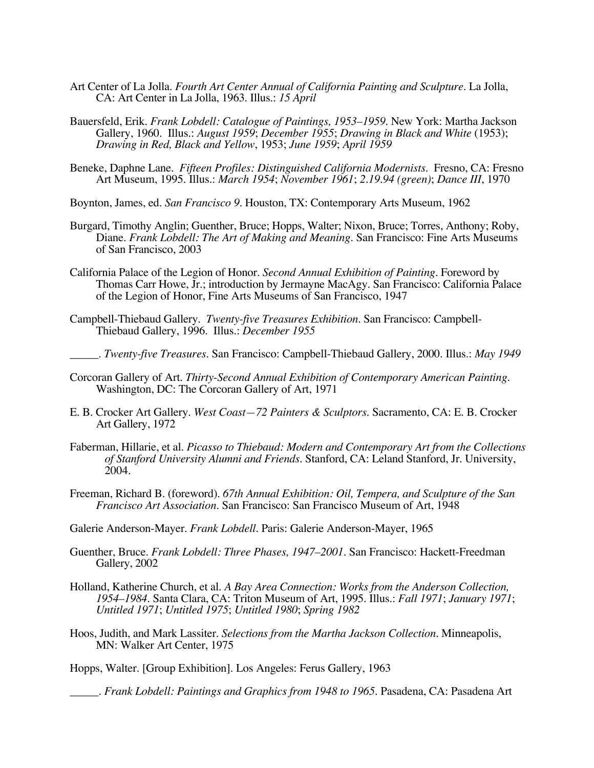- Art Center of La Jolla. *Fourth Art Center Annual of California Painting and Sculpture*. La Jolla, CA: Art Center in La Jolla, 1963. Illus.: *15 April*
- Bauersfeld, Erik. *Frank Lobdell: Catalogue of Paintings, 1953–1959*. New York: Martha Jackson Gallery, 1960. Illus.: *August 1959*; *December 1955*; *Drawing in Black and White* (1953); *Drawing in Red, Black and Yellow*, 1953; *June 1959*; *April 1959*
- Beneke, Daphne Lane. *Fifteen Profiles: Distinguished California Modernists.* Fresno, CA: Fresno Art Museum, 1995. Illus.: *March 1954*; *November 1961*; *2.19.94 (green)*; *Dance III*, 1970
- Boynton, James, ed. *San Francisco 9*. Houston, TX: Contemporary Arts Museum, 1962
- Burgard, Timothy Anglin; Guenther, Bruce; Hopps, Walter; Nixon, Bruce; Torres, Anthony; Roby, Diane. *Frank Lobdell: The Art of Making and Meaning*. San Francisco: Fine Arts Museums of San Francisco, 2003
- California Palace of the Legion of Honor. *Second Annual Exhibition of Painting*. Foreword by Thomas Carr Howe, Jr.; introduction by Jermayne MacAgy. San Francisco: California Palace of the Legion of Honor, Fine Arts Museums of San Francisco, 1947
- Campbell-Thiebaud Gallery. *Twenty-five Treasures Exhibition*. San Francisco: Campbell-Thiebaud Gallery, 1996. Illus.: *December 1955*
- \_\_\_\_\_. *Twenty-five Treasures*. San Francisco: Campbell-Thiebaud Gallery, 2000. Illus.: *May 1949*
- Corcoran Gallery of Art. *Thirty-Second Annual Exhibition of Contemporary American Painting*. Washington, DC: The Corcoran Gallery of Art, 1971
- E. B. Crocker Art Gallery. *West Coast—72 Painters & Sculptors*. Sacramento, CA: E. B. Crocker Art Gallery, 1972
- Faberman, Hillarie, et al. *Picasso to Thiebaud: Modern and Contemporary Art from the Collections of Stanford University Alumni and Friends.* Stanford, CA: Leland Stanford, Jr. University, 2004.
- Freeman, Richard B. (foreword). *67th Annual Exhibition: Oil, Tempera, and Sculpture of the San Francisco Art Association*. San Francisco: San Francisco Museum of Art, 1948
- Galerie Anderson-Mayer. *Frank Lobdell*. Paris: Galerie Anderson-Mayer, 1965
- Guenther, Bruce. *Frank Lobdell: Three Phases, 1947–2001.* San Francisco: Hackett-Freedman Gallery, 2002
- Holland, Katherine Church, et al. *A Bay Area Connection: Works from the Anderson Collection, 1954–1984*. Santa Clara, CA: Triton Museum of Art, 1995. Illus.: *Fall 1971*; *January 1971*; *Untitled 1971*; *Untitled 1975*; *Untitled 1980*; *Spring 1982*
- Hoos, Judith, and Mark Lassiter. *Selections from the Martha Jackson Collection*. Minneapolis, MN: Walker Art Center, 1975
- Hopps, Walter. [Group Exhibition]*.* Los Angeles: Ferus Gallery, 1963
	- \_\_\_\_\_. *Frank Lobdell: Paintings and Graphics from 1948 to 1965.* Pasadena, CA: Pasadena Art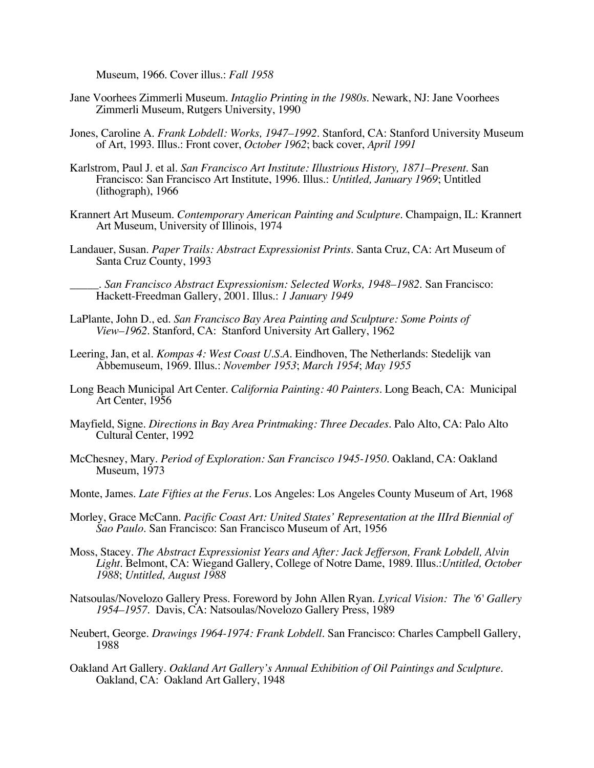Museum, 1966. Cover illus.: *Fall 1958*

- Jane Voorhees Zimmerli Museum. *Intaglio Printing in the 1980s*. Newark, NJ: Jane Voorhees Zimmerli Museum, Rutgers University, 1990
- Jones, Caroline A. *Frank Lobdell: Works, 1947–1992*. Stanford, CA: Stanford University Museum of Art, 1993. Illus.: Front cover, *October 1962*; back cover, *April 1991*
- Karlstrom, Paul J. et al. *San Francisco Art Institute: Illustrious History, 1871–Present*. San Francisco: San Francisco Art Institute, 1996. Illus.: *Untitled, January 1969*; Untitled (lithograph), 1966
- Krannert Art Museum. *Contemporary American Painting and Sculpture*. Champaign, IL: Krannert Art Museum, University of Illinois, 1974
- Landauer, Susan. *Paper Trails: Abstract Expressionist Prints*. Santa Cruz, CA: Art Museum of Santa Cruz County, 1993

\_\_\_\_\_. *San Francisco Abstract Expressionism: Selected Works, 1948–1982*. San Francisco: Hackett-Freedman Gallery, 2001. Illus.: *1 January 1949*

- LaPlante, John D., ed. *San Francisco Bay Area Painting and Sculpture: Some Points of View–1962.* Stanford, CA: Stanford University Art Gallery, 1962
- Leering, Jan, et al. *Kompas 4: West Coast U.S.A.* Eindhoven, The Netherlands: Stedelijk van Abbemuseum, 1969. Illus.: *November 1953*; *March 1954*; *May 1955*
- Long Beach Municipal Art Center. *California Painting: 40 Painters*. Long Beach, CA: Municipal Art Center, 1956
- Mayfield, Signe. *Directions in Bay Area Printmaking: Three Decades.* Palo Alto, CA: Palo Alto Cultural Center, 1992
- McChesney, Mary. *Period of Exploration: San Francisco 1945-1950.* Oakland, CA: Oakland Museum, 1973
- Monte, James. *Late Fifties at the Ferus*. Los Angeles: Los Angeles County Museum of Art, 1968
- Morley, Grace McCann. *Pacific Coast Art: United States' Representation at the IIIrd Biennial of Sao Paulo*. San Francisco: San Francisco Museum of Art, 1956
- Moss, Stacey. *The Abstract Expressionist Years and After: Jack Jefferson, Frank Lobdell, Alvin Light*. Belmont, CA: Wiegand Gallery, College of Notre Dame, 1989. Illus.:*Untitled, October 1988*; *Untitled, August 1988*
- Natsoulas/Novelozo Gallery Press. Foreword by John Allen Ryan. *Lyrical Vision: The '6' Gallery 1954–1957*. Davis, CA: Natsoulas/Novelozo Gallery Press, 1989
- Neubert, George. *Drawings 1964-1974: Frank Lobdell*. San Francisco: Charles Campbell Gallery, 1988
- Oakland Art Gallery. *Oakland Art Gallery's Annual Exhibition of Oil Paintings and Sculpture*. Oakland, CA: Oakland Art Gallery, 1948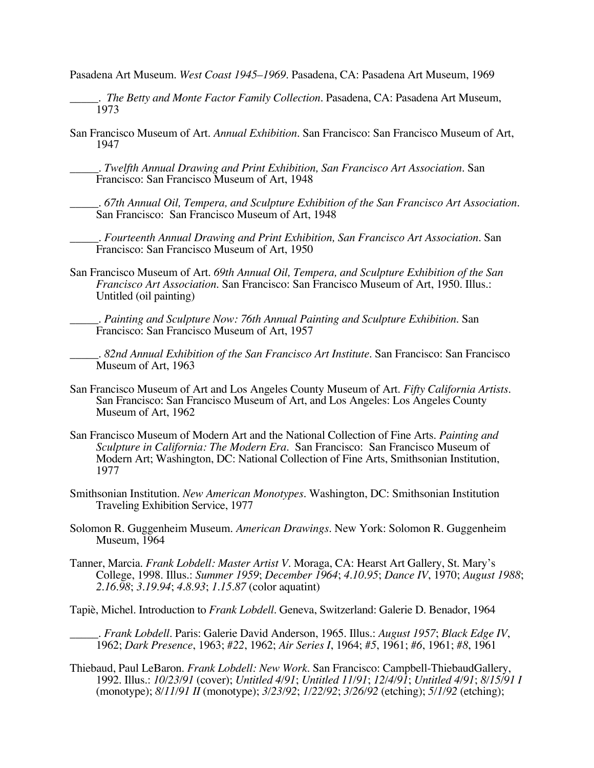Pasadena Art Museum. *West Coast 1945–1969*. Pasadena, CA: Pasadena Art Museum, 1969

- \_\_\_\_\_. *The Betty and Monte Factor Family Collection*. Pasadena, CA: Pasadena Art Museum, 1973
- San Francisco Museum of Art. *Annual Exhibition*. San Francisco: San Francisco Museum of Art, 1947

\_\_\_\_\_. *Twelfth Annual Drawing and Print Exhibition, San Francisco Art Association*. San Francisco: San Francisco Museum of Art, 1948

\_\_\_\_\_. *67th Annual Oil, Tempera, and Sculpture Exhibition of the San Francisco Art Association*. San Francisco: San Francisco Museum of Art, 1948

\_\_\_\_\_. *Fourteenth Annual Drawing and Print Exhibition, San Francisco Art Association*. San Francisco: San Francisco Museum of Art, 1950

San Francisco Museum of Art. *69th Annual Oil, Tempera, and Sculpture Exhibition of the San Francisco Art Association*. San Francisco: San Francisco Museum of Art, 1950. Illus.: Untitled (oil painting)

\_\_\_\_\_. *Painting and Sculpture Now: 76th Annual Painting and Sculpture Exhibition*. San Francisco: San Francisco Museum of Art, 1957

\_\_\_\_\_. *82nd Annual Exhibition of the San Francisco Art Institute*. San Francisco: San Francisco Museum of Art, 1963

- San Francisco Museum of Art and Los Angeles County Museum of Art. *Fifty California Artists*. San Francisco: San Francisco Museum of Art, and Los Angeles: Los Angeles County Museum of Art, 1962
- San Francisco Museum of Modern Art and the National Collection of Fine Arts. *Painting and Sculpture in California: The Modern Era*. San Francisco: San Francisco Museum of Modern Art; Washington, DC: National Collection of Fine Arts, Smithsonian Institution, 1977
- Smithsonian Institution. *New American Monotypes*. Washington, DC: Smithsonian Institution Traveling Exhibition Service, 1977
- Solomon R. Guggenheim Museum. *American Drawings*. New York: Solomon R. Guggenheim Museum, 1964
- Tanner, Marcia. *Frank Lobdell: Master Artist V*. Moraga, CA: Hearst Art Gallery, St. Mary's College, 1998. Illus.: *Summer 1959*; *December 1964*; *4.10.95*; *Dance IV*, 1970; *August 1988*; *2.16.98*; *3.19.94*; *4.8.93*; *1.15.87* (color aquatint)

Tapiè, Michel. Introduction to *Frank Lobdell.* Geneva, Switzerland: Galerie D. Benador, 1964

\_\_\_\_\_. *Frank Lobdell.* Paris: Galerie David Anderson, 1965. Illus.: *August 1957*; *Black Edge IV*, 1962; *Dark Presence*, 1963; *#22*, 1962; *Air Series I*, 1964; *#5*, 1961; *#6*, 1961; *#8*, 1961

Thiebaud, Paul LeBaron. *Frank Lobdell: New Work.* San Francisco: Campbell-ThiebaudGallery, 1992. Illus.: *10/23/91* (cover); *Untitled 4/91*; *Untitled 11/91*; *12/4/91*; *Untitled 4/91*; *8/15/91 I* (monotype); *8/11/91 II* (monotype); *3/23/92*; *1/22/92*; *3/26/92* (etching); *5/1/92* (etching);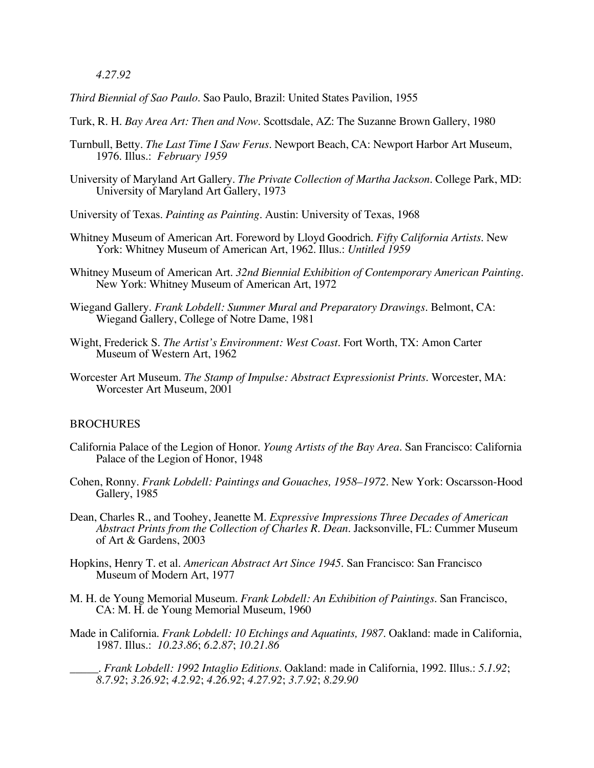*4.27.92*

*Third Biennial of Sao Paulo*. Sao Paulo, Brazil: United States Pavilion, 1955

Turk, R. H. *Bay Area Art: Then and Now*. Scottsdale, AZ: The Suzanne Brown Gallery, 1980

- Turnbull, Betty. *The Last Time I Saw Ferus*. Newport Beach, CA: Newport Harbor Art Museum, 1976. Illus.: *February 1959*
- University of Maryland Art Gallery. *The Private Collection of Martha Jackson*. College Park, MD: University of Maryland Art Gallery, 1973
- University of Texas. *Painting as Painting*. Austin: University of Texas, 1968
- Whitney Museum of American Art. Foreword by Lloyd Goodrich. *Fifty California Artists*. New York: Whitney Museum of American Art, 1962. Illus.: *Untitled 1959*
- Whitney Museum of American Art. *32nd Biennial Exhibition of Contemporary American Painting*. New York: Whitney Museum of American Art, 1972
- Wiegand Gallery. *Frank Lobdell: Summer Mural and Preparatory Drawings*. Belmont, CA: Wiegand Gallery, College of Notre Dame, 1981
- Wight, Frederick S. *The Artist's Environment: West Coast*. Fort Worth, TX: Amon Carter Museum of Western Art, 1962
- Worcester Art Museum. *The Stamp of Impulse: Abstract Expressionist Prints*. Worcester, MA: Worcester Art Museum, 2001

# **BROCHURES**

- California Palace of the Legion of Honor. *Young Artists of the Bay Area*. San Francisco: California Palace of the Legion of Honor, 1948
- Cohen, Ronny. *Frank Lobdell: Paintings and Gouaches, 1958–1972*. New York: Oscarsson-Hood Gallery, 1985
- Dean, Charles R., and Toohey, Jeanette M. *Expressive Impressions Three Decades of American Abstract Prints from the Collection of Charles R. Dean*. Jacksonville, FL: Cummer Museum of Art & Gardens, 2003
- Hopkins, Henry T. et al. *American Abstract Art Since 1945*. San Francisco: San Francisco Museum of Modern Art, 1977
- M. H. de Young Memorial Museum. *Frank Lobdell: An Exhibition of Paintings*. San Francisco, CA: M. H. de Young Memorial Museum, 1960
- Made in California. *Frank Lobdell: 10 Etchings and Aquatints, 1987*. Oakland: made in California, 1987. Illus.: *10.23.86*; *6.2.87*; *10.21.86*
	- \_\_\_\_\_. *Frank Lobdell: 1992 Intaglio Editions*. Oakland: made in California, 1992. Illus.: *5.1.92*; *8.7.92*; *3.26.92*; *4.2.92*; *4.26.92*; *4.27.92*; *3.7.92*; *8.29.90*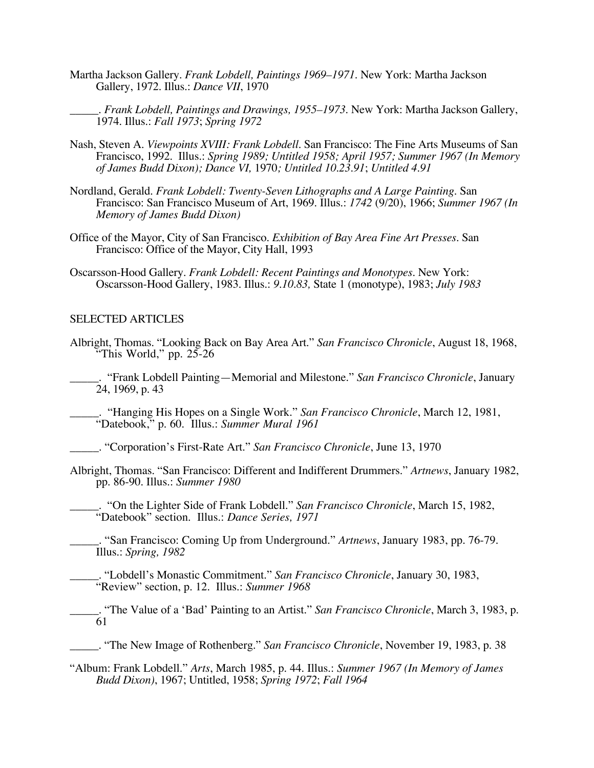- Martha Jackson Gallery. *Frank Lobdell, Paintings 1969–1971*. New York: Martha Jackson Gallery, 1972. Illus.: *Dance VII*, 1970
	- \_\_\_\_\_. *Frank Lobdell, Paintings and Drawings, 1955–1973*. New York: Martha Jackson Gallery, 1974. Illus.: *Fall 1973*; *Spring 1972*
- Nash, Steven A. *Viewpoints XVIII: Frank Lobdell.* San Francisco: The Fine Arts Museums of San Francisco, 1992. Illus.: *Spring 1989; Untitled 1958; April 1957; Summer 1967 (In Memory of James Budd Dixon); Dance VI,* 1970*; Untitled 10.23.91*; *Untitled 4.91*
- Nordland, Gerald. *Frank Lobdell: Twenty-Seven Lithographs and A Large Painting*. San Francisco: San Francisco Museum of Art, 1969. Illus.: *1742* (9/20), 1966; *Summer 1967 (In Memory of James Budd Dixon)*
- Office of the Mayor, City of San Francisco. *Exhibition of Bay Area Fine Art Presses.* San Francisco: Office of the Mayor, City Hall, 1993
- Oscarsson-Hood Gallery. *Frank Lobdell: Recent Paintings and Monotypes*. New York: Oscarsson-Hood Gallery, 1983. Illus.: *9.10.83,* State 1 (monotype), 1983; *July 1983*

#### SELECTED ARTICLES

- Albright, Thomas. "Looking Back on Bay Area Art." *San Francisco Chronicle*, August 18, 1968, "This World," pp.  $25-26$ 
	- \_\_\_\_\_. "Frank Lobdell Painting—Memorial and Milestone." *San Francisco Chronicle*, January 24, 1969, p. 43
	- \_\_\_\_\_. "Hanging His Hopes on a Single Work." *San Francisco Chronicle*, March 12, 1981, "Datebook," p. 60. Illus.: *Summer Mural 1961*
	- \_\_\_\_\_. "Corporation's First-Rate Art." *San Francisco Chronicle*, June 13, 1970
- Albright, Thomas. "San Francisco: Different and Indifferent Drummers." *Artnews*, January 1982, pp. 86-90. Illus.: *Summer 1980*
	- \_\_\_\_\_. "On the Lighter Side of Frank Lobdell." *San Francisco Chronicle*, March 15, 1982, "Datebook" section. Illus.: *Dance Series, 1971*
	- \_\_\_\_\_. "San Francisco: Coming Up from Underground." *Artnews*, January 1983, pp. 76-79. Illus.: *Spring, 1982*
	- \_\_\_\_\_. "Lobdell's Monastic Commitment." *San Francisco Chronicle*, January 30, 1983, "Review" section, p. 12. Illus.: *Summer 1968*
- \_\_\_\_\_. "The Value of a 'Bad' Painting to an Artist." *San Francisco Chronicle*, March 3, 1983, p. 61
	- \_\_\_\_\_. "The New Image of Rothenberg." *San Francisco Chronicle*, November 19, 1983, p. 38
- "Album: Frank Lobdell." *Arts*, March 1985, p. 44. Illus.: *Summer 1967 (In Memory of James Budd Dixon)*, 1967; Untitled, 1958; *Spring 1972*; *Fall 1964*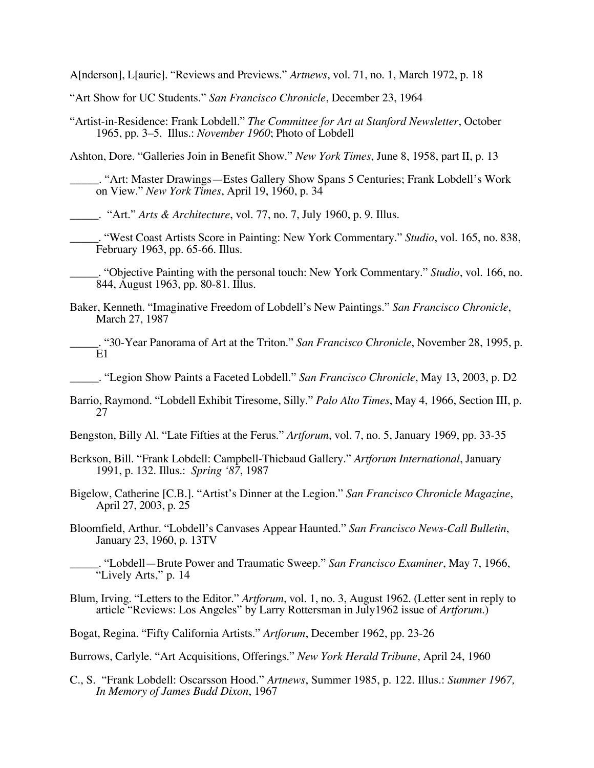A[nderson], L[aurie]. "Reviews and Previews." *Artnews*, vol. 71, no. 1, March 1972, p. 18

"Art Show for UC Students." *San Francisco Chronicle*, December 23, 1964

"Artist-in-Residence: Frank Lobdell." *The Committee for Art at Stanford Newsletter*, October 1965, pp. 3–5. Illus.: *November 1960*; Photo of Lobdell

Ashton, Dore. "Galleries Join in Benefit Show." *New York Times*, June 8, 1958, part II, p. 13

\_\_\_\_\_. "Art: Master Drawings—Estes Gallery Show Spans 5 Centuries; Frank Lobdell's Work on View." *New York Times*, April 19, 1960, p. 34

\_\_\_\_\_. "Art." *Arts & Architecture*, vol. 77, no. 7, July 1960, p. 9. Illus.

- \_\_\_\_\_. "West Coast Artists Score in Painting: New York Commentary." *Studio*, vol. 165, no. 838, February 1963, pp. 65-66. Illus.
- \_\_\_\_\_. "Objective Painting with the personal touch: New York Commentary." *Studio*, vol. 166, no. 844, August 1963, pp. 80-81. Illus.
- Baker, Kenneth. "Imaginative Freedom of Lobdell's New Paintings." *San Francisco Chronicle*, March 27, 1987
- \_\_\_\_\_. "30-Year Panorama of Art at the Triton." *San Francisco Chronicle*, November 28, 1995, p. E1

\_\_\_\_\_. "Legion Show Paints a Faceted Lobdell." *San Francisco Chronicle*, May 13, 2003, p. D2

Barrio, Raymond. "Lobdell Exhibit Tiresome, Silly." *Palo Alto Times*, May 4, 1966, Section III, p. 27

Bengston, Billy Al. "Late Fifties at the Ferus." *Artforum*, vol. 7, no. 5, January 1969, pp. 33-35

- Berkson, Bill. "Frank Lobdell: Campbell-Thiebaud Gallery." *Artforum International*, January 1991, p. 132. Illus.: *Spring '87*, 1987
- Bigelow, Catherine [C.B.]. "Artist's Dinner at the Legion." *San Francisco Chronicle Magazine*, April 27, 2003, p. 25
- Bloomfield, Arthur. "Lobdell's Canvases Appear Haunted." *San Francisco News-Call Bulletin*, January 23, 1960, p. 13TV
- \_\_\_\_\_. "Lobdell—Brute Power and Traumatic Sweep." *San Francisco Examiner*, May 7, 1966, "Lively Arts," p. 14
- Blum, Irving. "Letters to the Editor." *Artforum*, vol. 1, no. 3, August 1962. (Letter sent in reply to article "Reviews: Los Angeles" by Larry Rottersman in July1962 issue of *Artforum*.)

Bogat, Regina. "Fifty California Artists." *Artforum*, December 1962, pp. 23-26

Burrows, Carlyle. "Art Acquisitions, Offerings." *New York Herald Tribune*, April 24, 1960

C., S. "Frank Lobdell: Oscarsson Hood." *Artnews*, Summer 1985, p. 122. Illus.: *Summer 1967, In Memory of James Budd Dixon*, 1967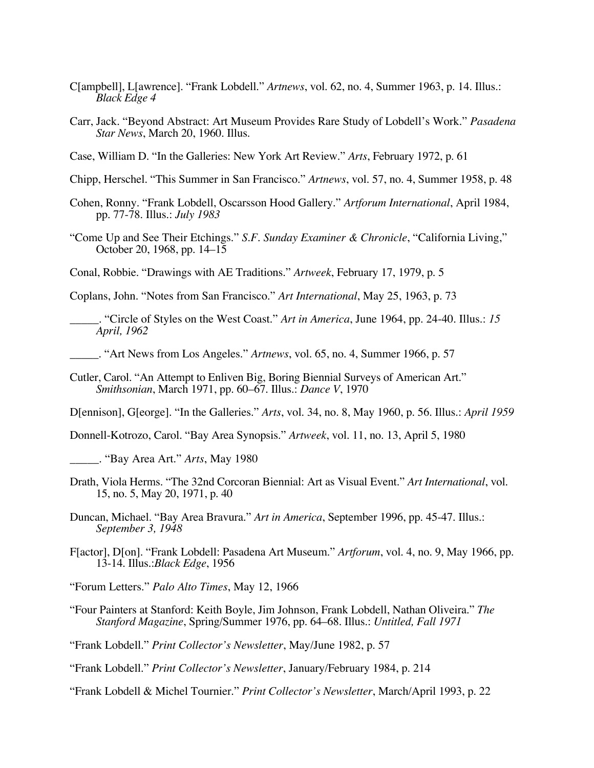- C[ampbell], L[awrence]. "Frank Lobdell." *Artnews*, vol. 62, no. 4, Summer 1963, p. 14. Illus.: *Black Edge 4*
- Carr, Jack. "Beyond Abstract: Art Museum Provides Rare Study of Lobdell's Work." *Pasadena Star News*, March 20, 1960. Illus.
- Case, William D. "In the Galleries: New York Art Review." *Arts*, February 1972, p. 61
- Chipp, Herschel. "This Summer in San Francisco." *Artnews*, vol. 57, no. 4, Summer 1958, p. 48
- Cohen, Ronny. "Frank Lobdell, Oscarsson Hood Gallery." *Artforum International*, April 1984, pp. 77-78. Illus.: *July 1983*
- "Come Up and See Their Etchings." *S.F. Sunday Examiner & Chronicle*, "California Living," October 20, 1968, pp. 14–15
- Conal, Robbie. "Drawings with AE Traditions." *Artweek*, February 17, 1979, p. 5

Coplans, John. "Notes from San Francisco." *Art International*, May 25, 1963, p. 73

\_\_\_\_\_. "Circle of Styles on the West Coast." *Art in America*, June 1964, pp. 24-40. Illus.: *15 April, 1962*

\_\_\_\_\_. "Art News from Los Angeles." *Artnews*, vol. 65, no. 4, Summer 1966, p. 57

Cutler, Carol. "An Attempt to Enliven Big, Boring Biennial Surveys of American Art." *Smithsonian*, March 1971, pp. 60–67. Illus.: *Dance V*, 1970

D[ennison], G[eorge]. "In the Galleries." *Arts*, vol. 34, no. 8, May 1960, p. 56. Illus.: *April 1959*

Donnell-Kotrozo, Carol. "Bay Area Synopsis." *Artweek*, vol. 11, no. 13, April 5, 1980

\_\_\_\_\_. "Bay Area Art." *Arts*, May 1980

Drath, Viola Herms. "The 32nd Corcoran Biennial: Art as Visual Event." *Art International*, vol. 15, no. 5, May 20, 1971, p. 40

Duncan, Michael. "Bay Area Bravura." *Art in America*, September 1996, pp. 45-47. Illus.: *September 3, 1948*

- F[actor], D[on]. "Frank Lobdell: Pasadena Art Museum." *Artforum*, vol. 4, no. 9, May 1966, pp. 13-14. Illus.:*Black Edge*, 1956
- "Forum Letters." *Palo Alto Times*, May 12, 1966
- "Four Painters at Stanford: Keith Boyle, Jim Johnson, Frank Lobdell, Nathan Oliveira." *The Stanford Magazine*, Spring/Summer 1976, pp. 64–68. Illus.: *Untitled, Fall 1971*

"Frank Lobdell." *Print Collector's Newsletter*, May/June 1982, p. 57

"Frank Lobdell." *Print Collector's Newsletter*, January/February 1984, p. 214

"Frank Lobdell & Michel Tournier." *Print Collector's Newsletter*, March/April 1993, p. 22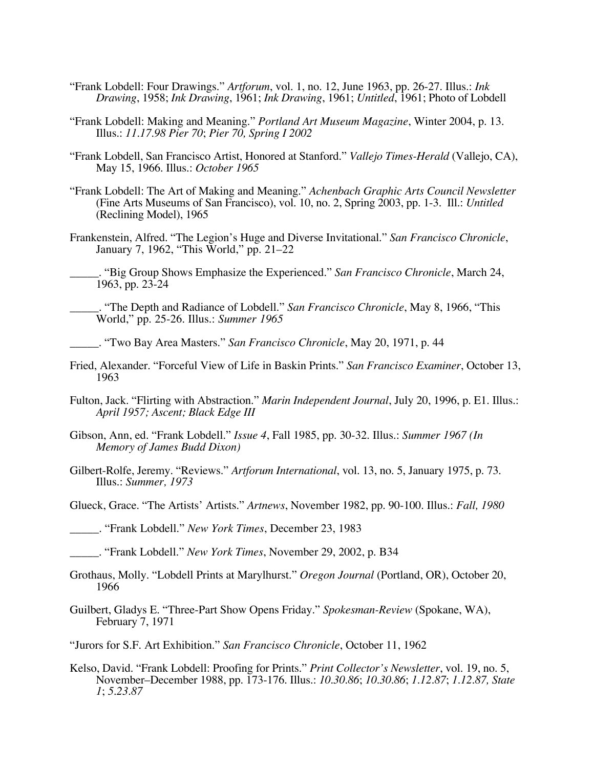- "Frank Lobdell: Four Drawings." *Artforum*, vol. 1, no. 12, June 1963, pp. 26-27. Illus.: *Ink Drawing*, 1958; *Ink Drawing*, 1961; *Ink Drawing*, 1961; *Untitled*, 1961; Photo of Lobdell
- "Frank Lobdell: Making and Meaning." *Portland Art Museum Magazine*, Winter 2004, p. 13. Illus.: *11.17.98 Pier 70*; *Pier 70, Spring I 2002*
- "Frank Lobdell, San Francisco Artist, Honored at Stanford." *Vallejo Times-Herald* (Vallejo, CA), May 15, 1966. Illus.: *October 1965*
- "Frank Lobdell: The Art of Making and Meaning." *Achenbach Graphic Arts Council Newsletter* (Fine Arts Museums of San Francisco), vol. 10, no. 2, Spring 2003, pp. 1-3. Ill.: *Untitled* (Reclining Model), 1965
- Frankenstein, Alfred. "The Legion's Huge and Diverse Invitational." *San Francisco Chronicle*, January 7, 1962, "This World," pp. 21–22
- \_\_\_\_\_. "Big Group Shows Emphasize the Experienced." *San Francisco Chronicle*, March 24, 1963, pp. 23-24

\_\_\_\_\_. "The Depth and Radiance of Lobdell." *San Francisco Chronicle*, May 8, 1966, "This World," pp. 25-26. Illus.: *Summer 1965*

\_\_\_\_\_. "Two Bay Area Masters." *San Francisco Chronicle*, May 20, 1971, p. 44

- Fried, Alexander. "Forceful View of Life in Baskin Prints." *San Francisco Examiner*, October 13, 1963
- Fulton, Jack. "Flirting with Abstraction." *Marin Independent Journal*, July 20, 1996, p. E1. Illus.: *April 1957; Ascent; Black Edge III*
- Gibson, Ann, ed. "Frank Lobdell." *Issue 4*, Fall 1985, pp. 30-32. Illus.: *Summer 1967 (In Memory of James Budd Dixon)*
- Gilbert-Rolfe, Jeremy. "Reviews." *Artforum International*, vol. 13, no. 5, January 1975, p. 73. Illus.: *Summer, 1973*
- Glueck, Grace. "The Artists' Artists." *Artnews*, November 1982, pp. 90-100. Illus.: *Fall, 1980*

\_\_\_\_\_. "Frank Lobdell." *New York Times*, December 23, 1983

\_\_\_\_\_. "Frank Lobdell." *New York Times*, November 29, 2002, p. B34

- Grothaus, Molly. "Lobdell Prints at Marylhurst." *Oregon Journal* (Portland, OR), October 20, 1966
- Guilbert, Gladys E. "Three-Part Show Opens Friday." *Spokesman-Review* (Spokane, WA), February 7, 1971

"Jurors for S.F. Art Exhibition." *San Francisco Chronicle*, October 11, 1962

Kelso, David. "Frank Lobdell: Proofing for Prints." *Print Collector's Newsletter*, vol. 19, no. 5, November–December 1988, pp. 173-176. Illus.: *10.30.86*; *10.30.86*; *1.12.87*; *1.12.87, State 1*; *5.23.87*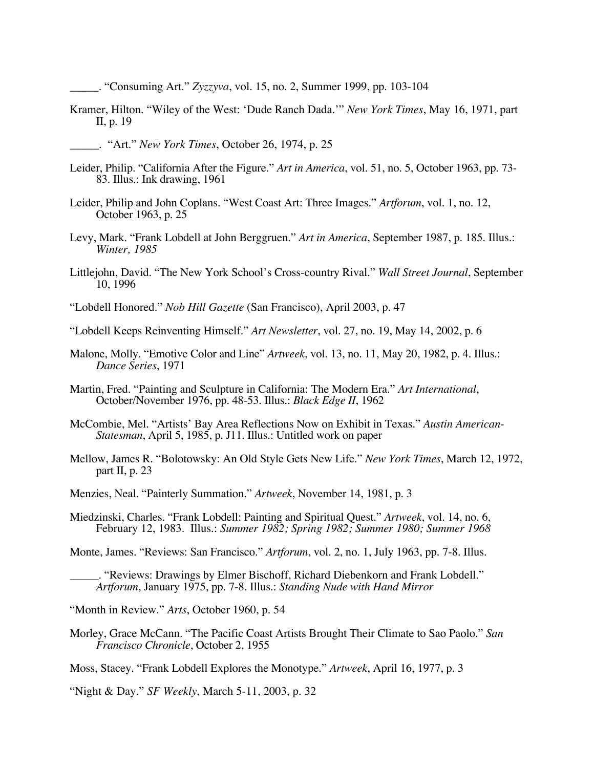\_\_\_\_\_. "Consuming Art." *Zyzzyva*, vol. 15, no. 2, Summer 1999, pp. 103-104

Kramer, Hilton. "Wiley of the West: 'Dude Ranch Dada.'" *New York Times*, May 16, 1971, part II, p. 19

- Leider, Philip. "California After the Figure." *Art in America*, vol. 51, no. 5, October 1963, pp. 73- 83. Illus.: Ink drawing, 1961
- Leider, Philip and John Coplans. "West Coast Art: Three Images." *Artforum*, vol. 1, no. 12, October 1963, p. 25
- Levy, Mark. "Frank Lobdell at John Berggruen." *Art in America*, September 1987, p. 185. Illus.: *Winter, 1985*
- Littlejohn, David. "The New York School's Cross-country Rival." *Wall Street Journal*, September 10, 1996
- "Lobdell Honored." *Nob Hill Gazette* (San Francisco), April 2003, p. 47
- "Lobdell Keeps Reinventing Himself." *Art Newsletter*, vol. 27, no. 19, May 14, 2002, p. 6
- Malone, Molly. "Emotive Color and Line" *Artweek*, vol. 13, no. 11, May 20, 1982, p. 4. Illus.: *Dance Series*, 1971
- Martin, Fred. "Painting and Sculpture in California: The Modern Era." *Art International*, October/November 1976, pp. 48-53. Illus.: *Black Edge II*, 1962
- McCombie, Mel. "Artists' Bay Area Reflections Now on Exhibit in Texas." *Austin American-Statesman*, April 5, 1985, p. J11. Illus.: Untitled work on paper
- Mellow, James R. "Bolotowsky: An Old Style Gets New Life." *New York Times*, March 12, 1972, part II, p. 23
- Menzies, Neal. "Painterly Summation." *Artweek*, November 14, 1981, p. 3
- Miedzinski, Charles. "Frank Lobdell: Painting and Spiritual Quest." *Artweek*, vol. 14, no. 6, February 12, 1983. Illus.: *Summer 1982; Spring 1982; Summer 1980; Summer 1968*

Monte, James. "Reviews: San Francisco." *Artforum*, vol. 2, no. 1, July 1963, pp. 7-8. Illus.

"Reviews: Drawings by Elmer Bischoff, Richard Diebenkorn and Frank Lobdell." *Artforum*, January 1975, pp. 7-8. Illus.: *Standing Nude with Hand Mirror*

"Month in Review." *Arts*, October 1960, p. 54

Morley, Grace McCann. "The Pacific Coast Artists Brought Their Climate to Sao Paolo." *San Francisco Chronicle*, October 2, 1955

Moss, Stacey. "Frank Lobdell Explores the Monotype." *Artweek*, April 16, 1977, p. 3

"Night & Day." *SF Weekly*, March 5-11, 2003, p. 32

\_\_\_\_\_. "Art." *New York Times*, October 26, 1974, p. 25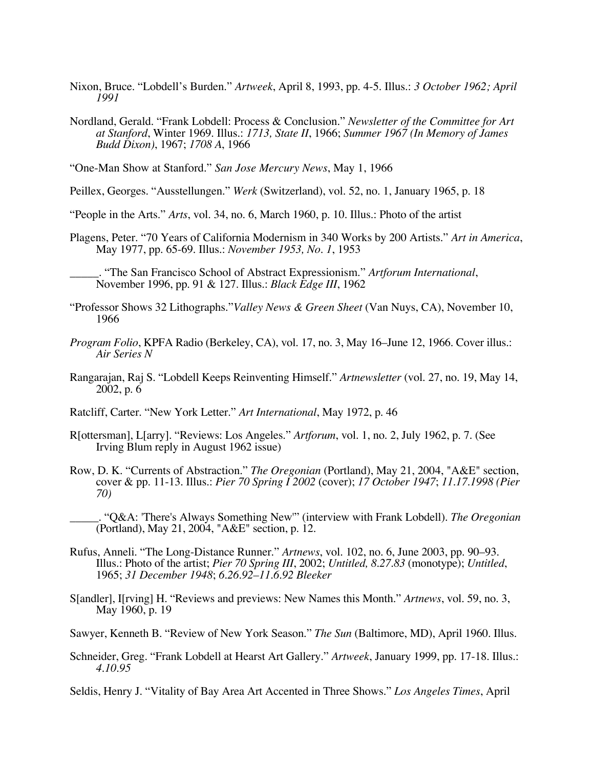- Nixon, Bruce. "Lobdell's Burden." *Artweek*, April 8, 1993, pp. 4-5. Illus.: *3 October 1962; April 1991*
- Nordland, Gerald. "Frank Lobdell: Process & Conclusion." *Newsletter of the Committee for Art at Stanford*, Winter 1969. Illus.: *1713, State II*, 1966; *Summer 1967 (In Memory of James Budd Dixon)*, 1967; *1708 A*, 1966

"One-Man Show at Stanford." *San Jose Mercury News*, May 1, 1966

Peillex, Georges. "Ausstellungen." *Werk* (Switzerland), vol. 52, no. 1, January 1965, p. 18

"People in the Arts." *Arts*, vol. 34, no. 6, March 1960, p. 10. Illus.: Photo of the artist

Plagens, Peter. "70 Years of California Modernism in 340 Works by 200 Artists." *Art in America*, May 1977, pp. 65-69. Illus.: *November 1953, No. 1*, 1953

\_\_\_\_\_. "The San Francisco School of Abstract Expressionism." *Artforum International*, November 1996, pp. 91 & 127. Illus.: *Black Edge III*, 1962

- "Professor Shows 32 Lithographs."*Valley News & Green Sheet* (Van Nuys, CA), November 10, 1966
- *Program Folio*, KPFA Radio (Berkeley, CA), vol. 17, no. 3, May 16–June 12, 1966. Cover illus.: *Air Series N*
- Rangarajan, Raj S. "Lobdell Keeps Reinventing Himself." *Artnewsletter* (vol. 27, no. 19, May 14, 2002, p. 6
- Ratcliff, Carter. "New York Letter." *Art International*, May 1972, p. 46
- R[ottersman], L[arry]. "Reviews: Los Angeles." *Artforum*, vol. 1, no. 2, July 1962, p. 7. (See Irving Blum reply in August 1962 issue)
- Row, D. K. "Currents of Abstraction." *The Oregonian* (Portland), May 21, 2004, "A&E" section, cover & pp. 11-13. Illus.: *Pier 70 Spring I 2002* (cover); *17 October 1947*; *11.17.1998 (Pier 70)*
	- \_\_\_\_\_. "Q&A: 'There's Always Something New'" (interview with Frank Lobdell). *The Oregonian* (Portland), May 21, 2004, "A&E" section, p. 12.
- Rufus, Anneli. "The Long-Distance Runner." *Artnews*, vol. 102, no. 6, June 2003, pp. 90–93. Illus.: Photo of the artist; *Pier 70 Spring III*, 2002; *Untitled, 8.27.83* (monotype); *Untitled*, 1965; *31 December 1948*; *6.26.92–11.6.92 Bleeker*
- S[andler], I[rving] H. "Reviews and previews: New Names this Month." *Artnews*, vol. 59, no. 3, May 1960, p. 19
- Sawyer, Kenneth B. "Review of New York Season." *The Sun* (Baltimore, MD), April 1960. Illus.
- Schneider, Greg. "Frank Lobdell at Hearst Art Gallery." *Artweek*, January 1999, pp. 17-18. Illus.: *4.10.95*

Seldis, Henry J. "Vitality of Bay Area Art Accented in Three Shows." *Los Angeles Times*, April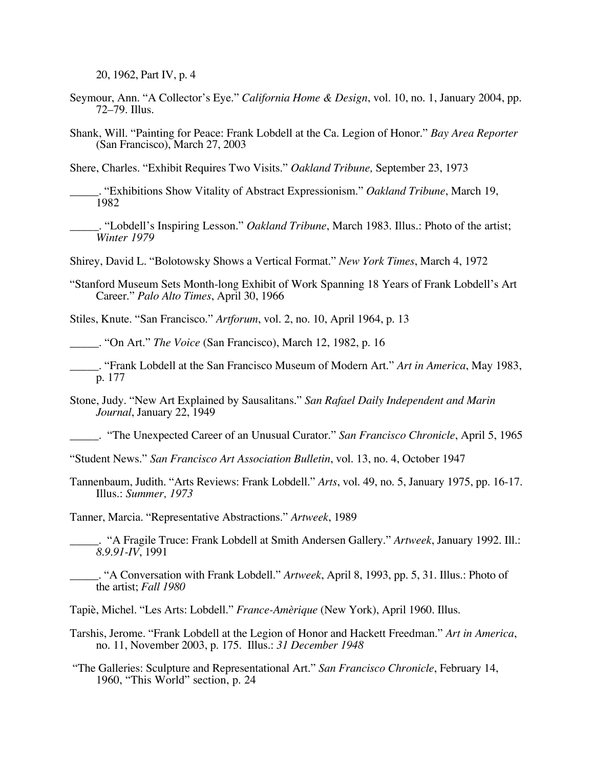20, 1962, Part IV, p. 4

- Seymour, Ann. "A Collector's Eye." *California Home & Design*, vol. 10, no. 1, January 2004, pp. 72–79. Illus.
- Shank, Will. "Painting for Peace: Frank Lobdell at the Ca. Legion of Honor." *Bay Area Reporter* (San Francisco), March 27, 2003

Shere, Charles. "Exhibit Requires Two Visits." *Oakland Tribune,* September 23, 1973

- \_\_\_\_\_. "Exhibitions Show Vitality of Abstract Expressionism." *Oakland Tribune*, March 19, 1982
	- \_\_\_\_\_. "Lobdell's Inspiring Lesson." *Oakland Tribune*, March 1983. Illus.: Photo of the artist; *Winter 1979*

Shirey, David L. "Bolotowsky Shows a Vertical Format." *New York Times*, March 4, 1972

"Stanford Museum Sets Month-long Exhibit of Work Spanning 18 Years of Frank Lobdell's Art Career." *Palo Alto Times*, April 30, 1966

Stiles, Knute. "San Francisco." *Artforum*, vol. 2, no. 10, April 1964, p. 13

\_\_\_\_\_. "On Art." *The Voice* (San Francisco), March 12, 1982, p. 16

- \_\_\_\_\_. "Frank Lobdell at the San Francisco Museum of Modern Art." *Art in America*, May 1983, p. 177
- Stone, Judy. "New Art Explained by Sausalitans." *San Rafael Daily Independent and Marin Journal*, January 22, 1949

\_\_\_\_\_. "The Unexpected Career of an Unusual Curator." *San Francisco Chronicle*, April 5, 1965

- "Student News." *San Francisco Art Association Bulletin*, vol. 13, no. 4, October 1947
- Tannenbaum, Judith. "Arts Reviews: Frank Lobdell." *Arts*, vol. 49, no. 5, January 1975, pp. 16-17. Illus.: *Summer, 1973*

Tanner, Marcia. "Representative Abstractions." *Artweek*, 1989

\_\_\_\_\_. "A Fragile Truce: Frank Lobdell at Smith Andersen Gallery." *Artweek*, January 1992. Ill.: *8.9.91-IV*, 1991

\_\_\_\_\_. "A Conversation with Frank Lobdell." *Artweek*, April 8, 1993, pp. 5, 31. Illus.: Photo of the artist; *Fall 1980*

Tapiè, Michel. "Les Arts: Lobdell." *France-Amèrique* (New York), April 1960. Illus.

Tarshis, Jerome. "Frank Lobdell at the Legion of Honor and Hackett Freedman." *Art in America*, no. 11, November 2003, p. 175. Illus.: *31 December 1948*

 "The Galleries: Sculpture and Representational Art." *San Francisco Chronicle*, February 14, 1960, "This World" section, p. 24